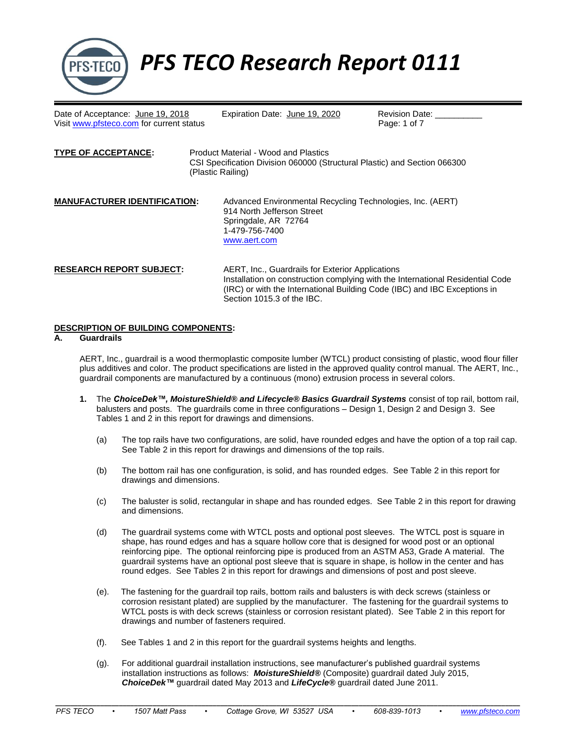

*PFS TECO Research Report 0111*

Date of Acceptance: June 19, 2018 Expiration Date: June 19, 2020 Revision Date: \_<br>Visit www.pfsteco.com for current status Faque: 1 of 7 Visit [www.pfsteco.com](http://www.pfsteco.com/) for current status

| <b>TYPE OF ACCEPTANCE:</b>          | Product Material - Wood and Plastics<br>CSI Specification Division 060000 (Structural Plastic) and Section 066300<br>(Plastic Railing)             |  |  |  |  |
|-------------------------------------|----------------------------------------------------------------------------------------------------------------------------------------------------|--|--|--|--|
| <b>MANUFACTURER IDENTIFICATION:</b> | Advanced Environmental Recycling Technologies, Inc. (AERT)<br>914 North Jefferson Street<br>Springdale, AR 72764<br>1-479-756-7400<br>www.aert.com |  |  |  |  |
| <b>RESEARCH REPORT SUBJECT:</b>     | AERT, Inc., Guardrails for Exterior Applications<br>Installation on construction complying with the International Residential Code                 |  |  |  |  |

# (IRC) or with the International Building Code (IBC) and IBC Exceptions in Section 1015.3 of the IBC.

## **DESCRIPTION OF BUILDING COMPONENTS:**

#### **A. Guardrails**

AERT, Inc., guardrail is a wood thermoplastic composite lumber (WTCL) product consisting of plastic, wood flour filler plus additives and color. The product specifications are listed in the approved quality control manual. The AERT, Inc., guardrail components are manufactured by a continuous (mono) extrusion process in several colors.

- **1.** The *ChoiceDek™, MoistureShield® and Lifecycle® Basics Guardrail Systems* consist of top rail, bottom rail, balusters and posts. The guardrails come in three configurations – Design 1, Design 2 and Design 3. See Tables 1 and 2 in this report for drawings and dimensions.
	- (a) The top rails have two configurations, are solid, have rounded edges and have the option of a top rail cap. See Table 2 in this report for drawings and dimensions of the top rails.
	- (b) The bottom rail has one configuration, is solid, and has rounded edges. See Table 2 in this report for drawings and dimensions.
	- (c) The baluster is solid, rectangular in shape and has rounded edges. See Table 2 in this report for drawing and dimensions.
	- (d) The guardrail systems come with WTCL posts and optional post sleeves. The WTCL post is square in shape, has round edges and has a square hollow core that is designed for wood post or an optional reinforcing pipe. The optional reinforcing pipe is produced from an ASTM A53, Grade A material. The guardrail systems have an optional post sleeve that is square in shape, is hollow in the center and has round edges. See Tables 2 in this report for drawings and dimensions of post and post sleeve.
	- (e). The fastening for the guardrail top rails, bottom rails and balusters is with deck screws (stainless or corrosion resistant plated) are supplied by the manufacturer. The fastening for the guardrail systems to WTCL posts is with deck screws (stainless or corrosion resistant plated). See Table 2 in this report for drawings and number of fasteners required.
	- (f). See Tables 1 and 2 in this report for the guardrail systems heights and lengths.
	- (g). For additional guardrail installation instructions, see manufacturer's published guardrail systems installation instructions as follows: *MoistureShield®* (Composite) guardrail dated July 2015, *ChoiceDek™* guardrail dated May 2013 and *LifeCycle®* guardrail dated June 2011.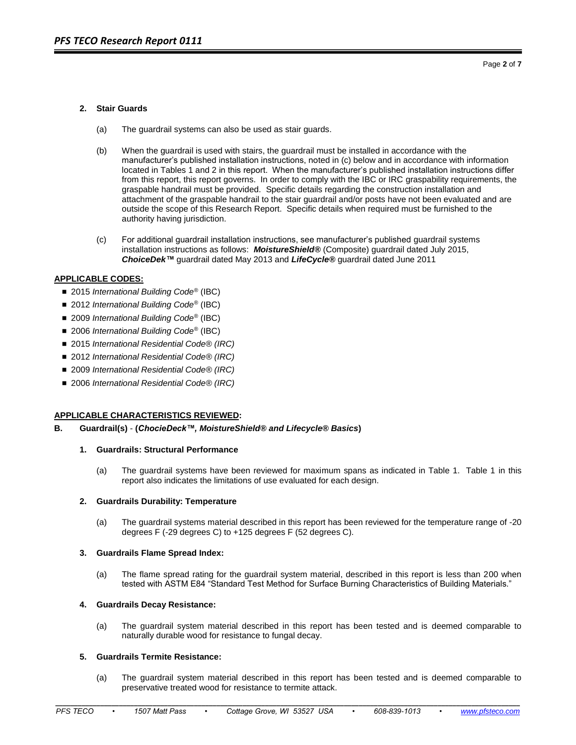Page **2** of **7**

## **2. Stair Guards**

- (a) The guardrail systems can also be used as stair guards.
- (b) When the guardrail is used with stairs, the guardrail must be installed in accordance with the manufacturer's published installation instructions, noted in (c) below and in accordance with information located in Tables 1 and 2 in this report. When the manufacturer's published installation instructions differ from this report, this report governs. In order to comply with the IBC or IRC graspability requirements, the graspable handrail must be provided. Specific details regarding the construction installation and attachment of the graspable handrail to the stair guardrail and/or posts have not been evaluated and are outside the scope of this Research Report. Specific details when required must be furnished to the authority having jurisdiction.
- (c) For additional guardrail installation instructions, see manufacturer's published guardrail systems installation instructions as follows: *MoistureShield®* (Composite) guardrail dated July 2015, *ChoiceDek™* guardrail dated May 2013 and *LifeCycle®* guardrail dated June 2011

#### **APPLICABLE CODES:**

- 2015 *International Building Code<sup>®</sup>* (IBC)
- 2012 *International Building Code<sup>®</sup>* (IBC)
- 2009 *International Building Code<sup>®</sup>* (IBC)
- 2006 *International Building Code<sup>®</sup>* (IBC)
- 2015 *International Residential Code<sup>®</sup> (IRC)*
- 2012 *International Residential Code<sup>®</sup> (IRC)*
- 2009 *International Residential Code<sup>®</sup> (IRC)*
- 2006 *International Residential Code<sup>®</sup> (IRC)*

#### **APPLICABLE CHARACTERISTICS REVIEWED:**

**B. Guardrail(s)** - **(***ChocieDeck™, MoistureShield® and Lifecycle® Basics***)**

#### **1. Guardrails: Structural Performance**

(a) The guardrail systems have been reviewed for maximum spans as indicated in Table 1. Table 1 in this report also indicates the limitations of use evaluated for each design.

#### **2. Guardrails Durability: Temperature**

(a) The guardrail systems material described in this report has been reviewed for the temperature range of -20 degrees F (-29 degrees C) to +125 degrees F (52 degrees C).

#### **3. Guardrails Flame Spread Index:**

(a) The flame spread rating for the guardrail system material, described in this report is less than 200 when tested with ASTM E84 "Standard Test Method for Surface Burning Characteristics of Building Materials."

#### **4. Guardrails Decay Resistance:**

(a) The guardrail system material described in this report has been tested and is deemed comparable to naturally durable wood for resistance to fungal decay.

## **5. Guardrails Termite Resistance:**

(a) The guardrail system material described in this report has been tested and is deemed comparable to preservative treated wood for resistance to termite attack.

**\_\_\_\_\_\_\_\_\_\_\_\_\_\_\_\_\_\_\_\_\_\_\_\_\_\_\_\_\_\_\_\_\_\_\_\_\_\_\_\_\_\_\_\_\_\_\_\_\_\_\_\_\_\_\_\_\_\_\_\_\_\_\_\_\_\_\_\_\_\_\_\_\_\_\_\_\_\_\_\_\_\_\_\_\_\_\_\_\_\_\_\_\_\_\_\_\_\_\_\_\_\_\_\_\_\_\_\_\_\_\_\_\_\_\_\_\_\_\_\_\_\_\_\_**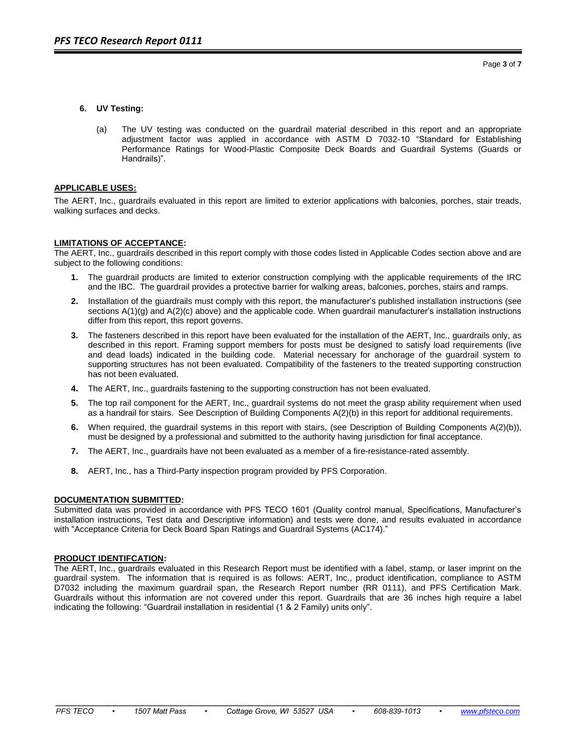## **6. UV Testing:**

(a) The UV testing was conducted on the guardrail material described in this report and an appropriate adjustment factor was applied in accordance with ASTM D 7032-10 "Standard for Establishing Performance Ratings for Wood-Plastic Composite Deck Boards and Guardrail Systems (Guards or Handrails)".

## **APPLICABLE USES:**

The AERT, Inc., guardrails evaluated in this report are limited to exterior applications with balconies, porches, stair treads, walking surfaces and decks.

## **LIMITATIONS OF ACCEPTANCE:**

The AERT, Inc., guardrails described in this report comply with those codes listed in Applicable Codes section above and are subject to the following conditions:

- **1.** The guardrail products are limited to exterior construction complying with the applicable requirements of the IRC and the IBC. The guardrail provides a protective barrier for walking areas, balconies, porches, stairs and ramps.
- **2.** Installation of the guardrails must comply with this report, the manufacturer's published installation instructions (see sections A(1)(g) and A(2)(c) above) and the applicable code. When guardrail manufacturer's installation instructions differ from this report, this report governs.
- **3.** The fasteners described in this report have been evaluated for the installation of the AERT, Inc., guardrails only, as described in this report. Framing support members for posts must be designed to satisfy load requirements (live and dead loads) indicated in the building code. Material necessary for anchorage of the guardrail system to supporting structures has not been evaluated. Compatibility of the fasteners to the treated supporting construction has not been evaluated.
- **4.** The AERT, Inc., guardrails fastening to the supporting construction has not been evaluated.
- **5.** The top rail component for the AERT, Inc., guardrail systems do not meet the grasp ability requirement when used as a handrail for stairs. See Description of Building Components A(2)(b) in this report for additional requirements.
- **6.** When required, the guardrail systems in this report with stairs, (see Description of Building Components A(2)(b)), must be designed by a professional and submitted to the authority having jurisdiction for final acceptance.
- **7.** The AERT, Inc., guardrails have not been evaluated as a member of a fire-resistance-rated assembly.
- **8.** AERT, Inc., has a Third-Party inspection program provided by PFS Corporation.

## **DOCUMENTATION SUBMITTED:**

Submitted data was provided in accordance with PFS TECO 1601 (Quality control manual, Specifications, Manufacturer's installation instructions, Test data and Descriptive information) and tests were done, and results evaluated in accordance with "Acceptance Criteria for Deck Board Span Ratings and Guardrail Systems (AC174)."

#### **PRODUCT IDENTIFCATION:**

The AERT, Inc., guardrails evaluated in this Research Report must be identified with a label, stamp, or laser imprint on the guardrail system. The information that is required is as follows: AERT, Inc., product identification, compliance to ASTM D7032 including the maximum guardrail span, the Research Report number (RR 0111), and PFS Certification Mark. Guardrails without this information are not covered under this report. Guardrails that are 36 inches high require a label indicating the following: "Guardrail installation in residential (1 & 2 Family) units only".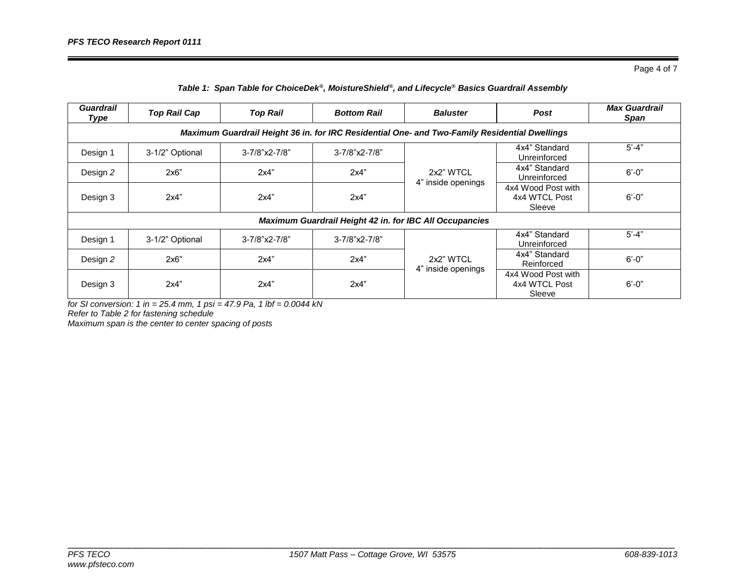Page 4 of 7

| <b>Guardrail</b><br>Type                                                                      | <b>Top Rail Cap</b> | <b>Top Rail</b> | <b>Bottom Rail</b>  | <b>Baluster</b>                 | <b>Post</b>                                   | <b>Max Guardrail</b><br>Span |  |  |
|-----------------------------------------------------------------------------------------------|---------------------|-----------------|---------------------|---------------------------------|-----------------------------------------------|------------------------------|--|--|
| Maximum Guardrail Height 36 in. for IRC Residential One- and Two-Family Residential Dwellings |                     |                 |                     |                                 |                                               |                              |  |  |
| Design 1                                                                                      | 3-1/2" Optional     | 3-7/8"x2-7/8"   | $3 - 7/8"x2 - 7/8"$ | 2x2" WTCL<br>4" inside openings | 4x4" Standard<br>Unreinforced                 | $5' - 4"$                    |  |  |
| Design 2                                                                                      | 2x6"                | 2x4"            | 2x4"                |                                 | 4x4" Standard<br>Unreinforced                 | $6' - 0''$                   |  |  |
| Design 3                                                                                      | 2x4"                | 2x4"            | 2x4"                |                                 | 4x4 Wood Post with<br>4x4 WTCL Post<br>Sleeve | $6' - 0''$                   |  |  |
| <b>Maximum Guardrail Height 42 in. for IBC All Occupancies</b>                                |                     |                 |                     |                                 |                                               |                              |  |  |
| Design 1                                                                                      | 3-1/2" Optional     | 3-7/8"x2-7/8"   | 3-7/8"x2-7/8"       | 2x2" WTCL<br>4" inside openings | 4x4" Standard<br>Unreinforced                 | $5' - 4"$                    |  |  |
| Design 2                                                                                      | 2x6"                | 2x4"            | 2x4"                |                                 | 4x4" Standard<br>Reinforced                   | $6' - 0''$                   |  |  |
| Design 3                                                                                      | 2x4"                | 2x4"            | 2x4"                |                                 | 4x4 Wood Post with<br>4x4 WTCL Post<br>Sleeve | $6' - 0''$                   |  |  |

*for SI conversion: 1 in = 25.4 mm, 1 psi = 47.9 Pa, 1 lbf = 0.0044 kN*

*Refer to Table 2 for fastening schedule*

*Maximum span is the center to center spacing of posts*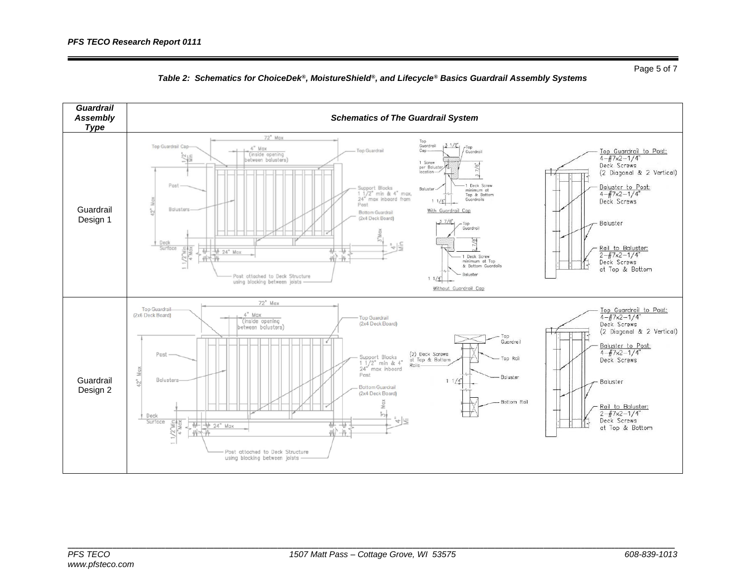

## *Table 2: Schematics for ChoiceDek®, MoistureShield®, and Lifecycle® Basics Guardrail Assembly Systems*

Page 5 of 7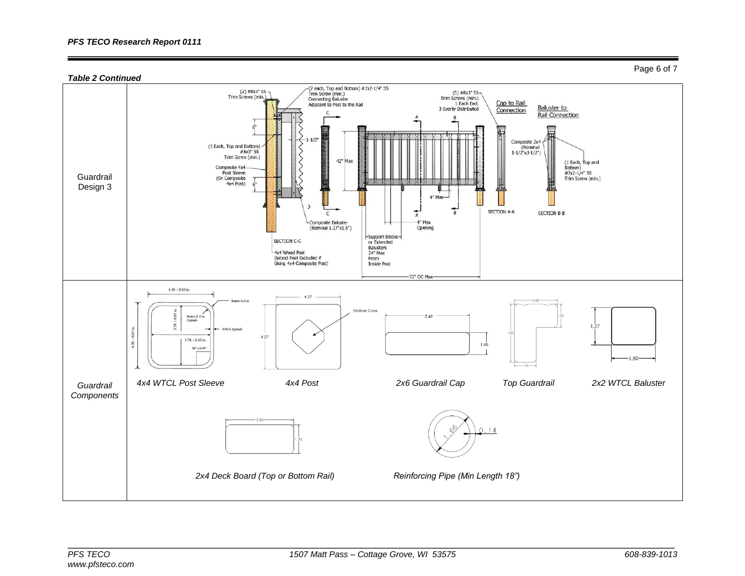